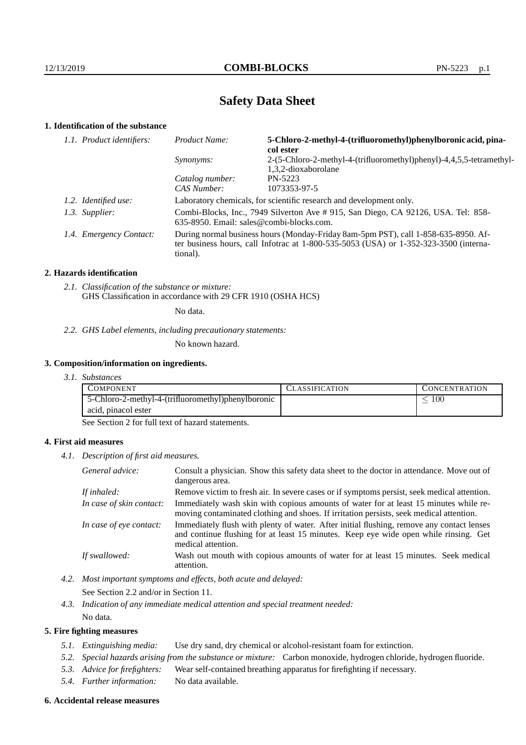# **Safety Data Sheet**

# **1. Identification of the substance**

| 1.1. Product identifiers: | Product Name:                                                                                                                                                                               | 5-Chloro-2-methyl-4-(trifluoromethyl)phenylboronic acid, pina-<br>col ester                 |
|---------------------------|---------------------------------------------------------------------------------------------------------------------------------------------------------------------------------------------|---------------------------------------------------------------------------------------------|
|                           | <i>Synonyms:</i>                                                                                                                                                                            | 2-(5-Chloro-2-methyl-4-(trifluoromethyl)phenyl)-4,4,5,5-tetramethyl-<br>1.3.2-dioxaborolane |
|                           | Catalog number:                                                                                                                                                                             | PN-5223                                                                                     |
|                           | CAS Number:                                                                                                                                                                                 | 1073353-97-5                                                                                |
| 1.2. Identified use:      | Laboratory chemicals, for scientific research and development only.                                                                                                                         |                                                                                             |
| 1.3. Supplier:            | Combi-Blocks, Inc., 7949 Silverton Ave # 915, San Diego, CA 92126, USA. Tel: 858-<br>635-8950. Email: sales@combi-blocks.com.                                                               |                                                                                             |
| 1.4. Emergency Contact:   | During normal business hours (Monday-Friday 8am-5pm PST), call 1-858-635-8950. Af-<br>ter business hours, call Infotrac at $1-800-535-5053$ (USA) or $1-352-323-3500$ (interna-<br>tional). |                                                                                             |

# **2. Hazards identification**

*2.1. Classification of the substance or mixture:* GHS Classification in accordance with 29 CFR 1910 (OSHA HCS)

No data.

#### *2.2. GHS Label elements, including precautionary statements:*

No known hazard.

# **3. Composition/information on ingredients.**

*3.1. Substances*

| <b>COMPONENT</b>                                   | CLASSIFICATION | <b>CONCENTRATION</b> |
|----------------------------------------------------|----------------|----------------------|
| 5-Chloro-2-methyl-4-(trifluoromethyl)phenylboronic |                | 100                  |
| acid, pinacol ester                                |                |                      |

See Section 2 for full text of hazard statements.

# **4. First aid measures**

*4.1. Description of first aid measures.*

| General advice:          | Consult a physician. Show this safety data sheet to the doctor in attendance. Move out of<br>dangerous area.                                                                                            |
|--------------------------|---------------------------------------------------------------------------------------------------------------------------------------------------------------------------------------------------------|
| If inhaled:              | Remove victim to fresh air. In severe cases or if symptoms persist, seek medical attention.                                                                                                             |
| In case of skin contact: | Immediately wash skin with copious amounts of water for at least 15 minutes while re-<br>moving contaminated clothing and shoes. If irritation persists, seek medical attention.                        |
| In case of eye contact:  | Immediately flush with plenty of water. After initial flushing, remove any contact lenses<br>and continue flushing for at least 15 minutes. Keep eye wide open while rinsing. Get<br>medical attention. |
| If swallowed:            | Wash out mouth with copious amounts of water for at least 15 minutes. Seek medical<br>attention.                                                                                                        |

*4.2. Most important symptoms and effects, both acute and delayed:*

See Section 2.2 and/or in Section 11.

*4.3. Indication of any immediate medical attention and special treatment needed:* No data.

# **5. Fire fighting measures**

- *5.1. Extinguishing media:* Use dry sand, dry chemical or alcohol-resistant foam for extinction.
- *5.2. Special hazards arising from the substance or mixture:* Carbon monoxide, hydrogen chloride, hydrogen fluoride.
- *5.3. Advice for firefighters:* Wear self-contained breathing apparatus for firefighting if necessary.
- *5.4. Further information:* No data available.

#### **6. Accidental release measures**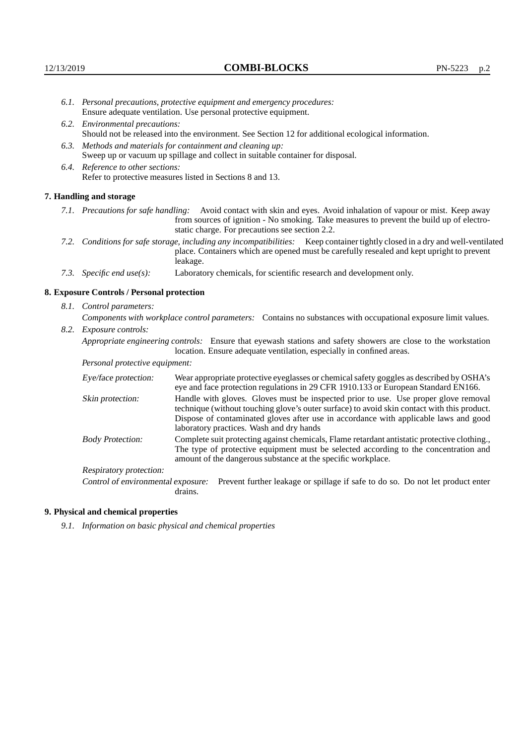- *6.1. Personal precautions, protective equipment and emergency procedures:* Ensure adequate ventilation. Use personal protective equipment.
- *6.2. Environmental precautions:* Should not be released into the environment. See Section 12 for additional ecological information.
- *6.3. Methods and materials for containment and cleaning up:* Sweep up or vacuum up spillage and collect in suitable container for disposal.
- *6.4. Reference to other sections:* Refer to protective measures listed in Sections 8 and 13.

### **7. Handling and storage**

- *7.1. Precautions for safe handling:* Avoid contact with skin and eyes. Avoid inhalation of vapour or mist. Keep away from sources of ignition - No smoking. Take measures to prevent the build up of electrostatic charge. For precautions see section 2.2.
- *7.2. Conditions for safe storage, including any incompatibilities:* Keep container tightly closed in a dry and well-ventilated place. Containers which are opened must be carefully resealed and kept upright to prevent leakage.
- *7.3. Specific end use(s):* Laboratory chemicals, for scientific research and development only.

#### **8. Exposure Controls / Personal protection**

*8.1. Control parameters:*

*Components with workplace control parameters:* Contains no substances with occupational exposure limit values.

*8.2. Exposure controls:*

*Appropriate engineering controls:* Ensure that eyewash stations and safety showers are close to the workstation location. Ensure adequate ventilation, especially in confined areas.

*Personal protective equipment:*

| Eye/face protection:    | Wear appropriate protective eyeglasses or chemical safety goggles as described by OSHA's<br>eye and face protection regulations in 29 CFR 1910.133 or European Standard EN166.                                                                                                                                         |
|-------------------------|------------------------------------------------------------------------------------------------------------------------------------------------------------------------------------------------------------------------------------------------------------------------------------------------------------------------|
| Skin protection:        | Handle with gloves. Gloves must be inspected prior to use. Use proper glove removal<br>technique (without touching glove's outer surface) to avoid skin contact with this product.<br>Dispose of contaminated gloves after use in accordance with applicable laws and good<br>laboratory practices. Wash and dry hands |
| <b>Body Protection:</b> | Complete suit protecting against chemicals, Flame retardant antistatic protective clothing.,<br>The type of protective equipment must be selected according to the concentration and<br>amount of the dangerous substance at the specific workplace.                                                                   |
| Respiratory protection: |                                                                                                                                                                                                                                                                                                                        |

Control of environmental exposure: Prevent further leakage or spillage if safe to do so. Do not let product enter drains.

### **9. Physical and chemical properties**

*9.1. Information on basic physical and chemical properties*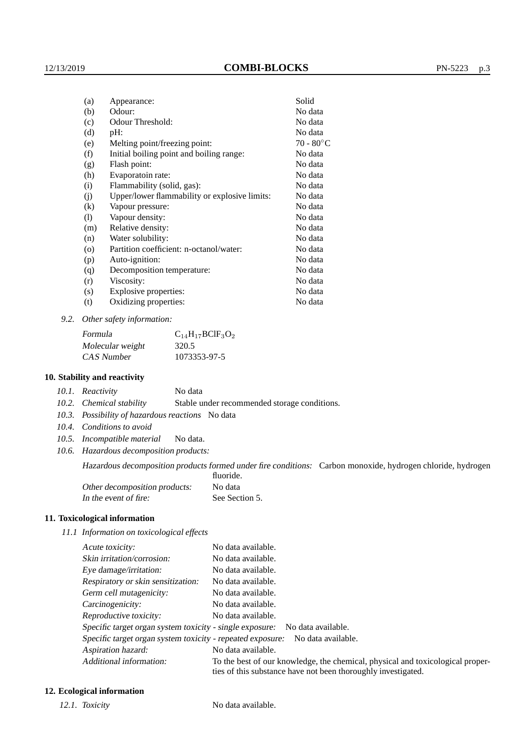| (a)      | Appearance:                                   | Solid               |
|----------|-----------------------------------------------|---------------------|
| (b)      | Odour:                                        | No data             |
| (c)      | Odour Threshold:                              | No data             |
| (d)      | $pH$ :                                        | No data             |
| (e)      | Melting point/freezing point:                 | $70 - 80^{\circ}$ C |
| (f)      | Initial boiling point and boiling range:      | No data             |
| (g)      | Flash point:                                  | No data             |
| (h)      | Evaporatoin rate:                             | No data             |
| (i)      | Flammability (solid, gas):                    | No data             |
| (j)      | Upper/lower flammability or explosive limits: | No data             |
| $\rm(k)$ | Vapour pressure:                              | No data             |
| (1)      | Vapour density:                               | No data             |
| (m)      | Relative density:                             | No data             |
| (n)      | Water solubility:                             | No data             |
| $\circ$  | Partition coefficient: n-octanol/water:       | No data             |
| (p)      | Auto-ignition:                                | No data             |
| (q)      | Decomposition temperature:                    | No data             |
| (r)      | Viscosity:                                    | No data             |
| (s)      | Explosive properties:                         | No data             |
| (t)      | Oxidizing properties:                         | No data             |
|          |                                               |                     |

*9.2. Other safety information:*

| Formula          | $C_{14}H_{17}BCIF_3O_2$ |
|------------------|-------------------------|
| Molecular weight | 320.5                   |
| CAS Number       | 1073353-97-5            |

### **10. Stability and reactivity**

|  | 10.1. Reactivity | No data |
|--|------------------|---------|
|--|------------------|---------|

*10.2. Chemical stability* Stable under recommended storage conditions.

- *10.3. Possibility of hazardous reactions* No data
- *10.4. Conditions to avoid*
- *10.5. Incompatible material* No data.
- *10.6. Hazardous decomposition products:*

Hazardous decomposition products formed under fire conditions: Carbon monoxide, hydrogen chloride, hydrogen fluoride.

| Other decomposition products: | No data        |
|-------------------------------|----------------|
| In the event of fire:         | See Section 5. |

# **11. Toxicological information**

*11.1 Information on toxicological effects*

| Acute toxicity:                                            | No data available.                                                                                                                              |
|------------------------------------------------------------|-------------------------------------------------------------------------------------------------------------------------------------------------|
| Skin irritation/corrosion:                                 | No data available.                                                                                                                              |
| Eye damage/irritation:                                     | No data available.                                                                                                                              |
| Respiratory or skin sensitization:                         | No data available.                                                                                                                              |
| Germ cell mutagenicity:                                    | No data available.                                                                                                                              |
| Carcinogenicity:                                           | No data available.                                                                                                                              |
| Reproductive toxicity:                                     | No data available.                                                                                                                              |
| Specific target organ system toxicity - single exposure:   | No data available.                                                                                                                              |
| Specific target organ system toxicity - repeated exposure: | No data available.                                                                                                                              |
| Aspiration hazard:                                         | No data available.                                                                                                                              |
| Additional information:                                    | To the best of our knowledge, the chemical, physical and toxicological proper-<br>ties of this substance have not been thoroughly investigated. |

# **12. Ecological information**

*12.1. Toxicity* No data available.